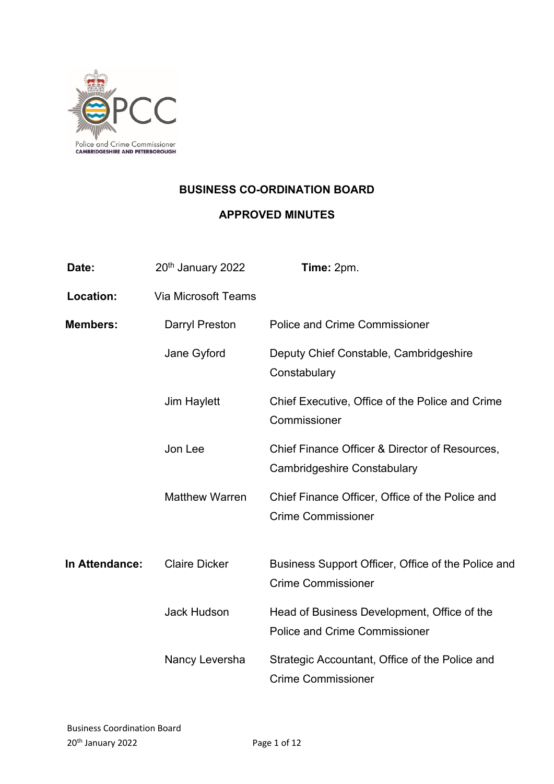

## **BUSINESS CO-ORDINATION BOARD**

# **APPROVED MINUTES**

| Date:            | 20 <sup>th</sup> January 2022 | Time: 2pm.                                                                          |
|------------------|-------------------------------|-------------------------------------------------------------------------------------|
| <b>Location:</b> | <b>Via Microsoft Teams</b>    |                                                                                     |
| <b>Members:</b>  | <b>Darryl Preston</b>         | <b>Police and Crime Commissioner</b>                                                |
|                  | Jane Gyford                   | Deputy Chief Constable, Cambridgeshire<br>Constabulary                              |
|                  | <b>Jim Haylett</b>            | Chief Executive, Office of the Police and Crime<br>Commissioner                     |
|                  | Jon Lee                       | Chief Finance Officer & Director of Resources,<br>Cambridgeshire Constabulary       |
|                  | <b>Matthew Warren</b>         | Chief Finance Officer, Office of the Police and<br><b>Crime Commissioner</b>        |
| In Attendance:   | <b>Claire Dicker</b>          | Business Support Officer, Office of the Police and<br><b>Crime Commissioner</b>     |
|                  | <b>Jack Hudson</b>            | Head of Business Development, Office of the<br><b>Police and Crime Commissioner</b> |
|                  | Nancy Leversha                | Strategic Accountant, Office of the Police and<br><b>Crime Commissioner</b>         |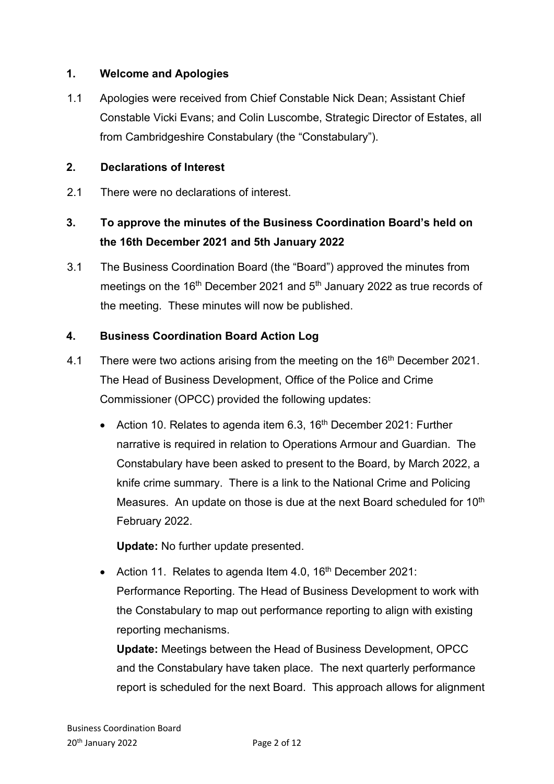### **1. Welcome and Apologies**

1.1 Apologies were received from Chief Constable Nick Dean; Assistant Chief Constable Vicki Evans; and Colin Luscombe, Strategic Director of Estates, all from Cambridgeshire Constabulary (the "Constabulary").

#### **2. Declarations of Interest**

2.1 There were no declarations of interest.

# **3. To approve the minutes of the Business Coordination Board's held on the 16th December 2021 and 5th January 2022**

3.1 The Business Coordination Board (the "Board") approved the minutes from meetings on the 16<sup>th</sup> December 2021 and 5<sup>th</sup> January 2022 as true records of the meeting. These minutes will now be published.

### **4. Business Coordination Board Action Log**

- 4.1 There were two actions arising from the meeting on the 16<sup>th</sup> December 2021. The Head of Business Development, Office of the Police and Crime Commissioner (OPCC) provided the following updates:
	- Action 10. Relates to agenda item 6.3, 16<sup>th</sup> December 2021: Further narrative is required in relation to Operations Armour and Guardian. The Constabulary have been asked to present to the Board, by March 2022, a knife crime summary. There is a link to the National Crime and Policing Measures. An update on those is due at the next Board scheduled for 10<sup>th</sup> February 2022.

**Update:** No further update presented.

• Action 11. Relates to agenda Item 4.0,  $16<sup>th</sup>$  December 2021: Performance Reporting. The Head of Business Development to work with the Constabulary to map out performance reporting to align with existing reporting mechanisms.

**Update:** Meetings between the Head of Business Development, OPCC and the Constabulary have taken place. The next quarterly performance report is scheduled for the next Board. This approach allows for alignment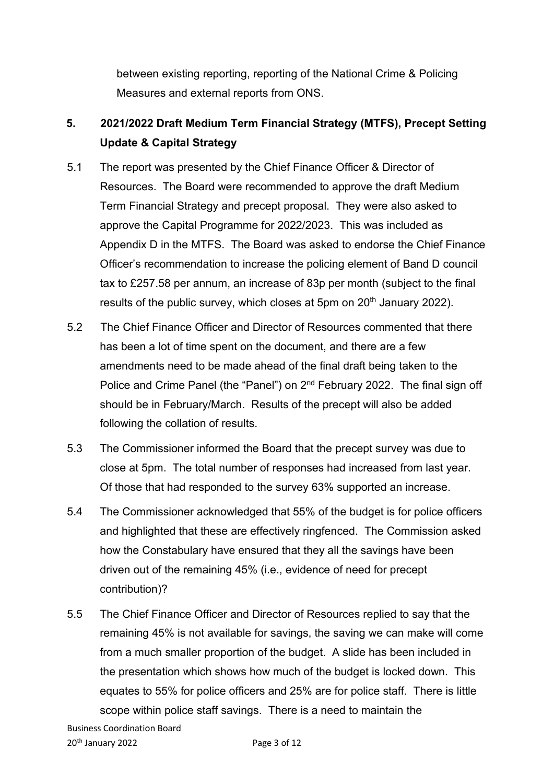between existing reporting, reporting of the National Crime & Policing Measures and external reports from ONS.

# **5. 2021/2022 Draft Medium Term Financial Strategy (MTFS), Precept Setting Update & Capital Strategy**

- 5.1 The report was presented by the Chief Finance Officer & Director of Resources. The Board were recommended to approve the draft Medium Term Financial Strategy and precept proposal. They were also asked to approve the Capital Programme for 2022/2023. This was included as Appendix D in the MTFS. The Board was asked to endorse the Chief Finance Officer's recommendation to increase the policing element of Band D council tax to £257.58 per annum, an increase of 83p per month (subject to the final results of the public survey, which closes at 5pm on  $20<sup>th</sup>$  January 2022).
- 5.2 The Chief Finance Officer and Director of Resources commented that there has been a lot of time spent on the document, and there are a few amendments need to be made ahead of the final draft being taken to the Police and Crime Panel (the "Panel") on 2<sup>nd</sup> February 2022. The final sign off should be in February/March. Results of the precept will also be added following the collation of results.
- 5.3 The Commissioner informed the Board that the precept survey was due to close at 5pm. The total number of responses had increased from last year. Of those that had responded to the survey 63% supported an increase.
- 5.4 The Commissioner acknowledged that 55% of the budget is for police officers and highlighted that these are effectively ringfenced. The Commission asked how the Constabulary have ensured that they all the savings have been driven out of the remaining 45% (i.e., evidence of need for precept contribution)?
- 5.5 The Chief Finance Officer and Director of Resources replied to say that the remaining 45% is not available for savings, the saving we can make will come from a much smaller proportion of the budget. A slide has been included in the presentation which shows how much of the budget is locked down. This equates to 55% for police officers and 25% are for police staff. There is little scope within police staff savings. There is a need to maintain the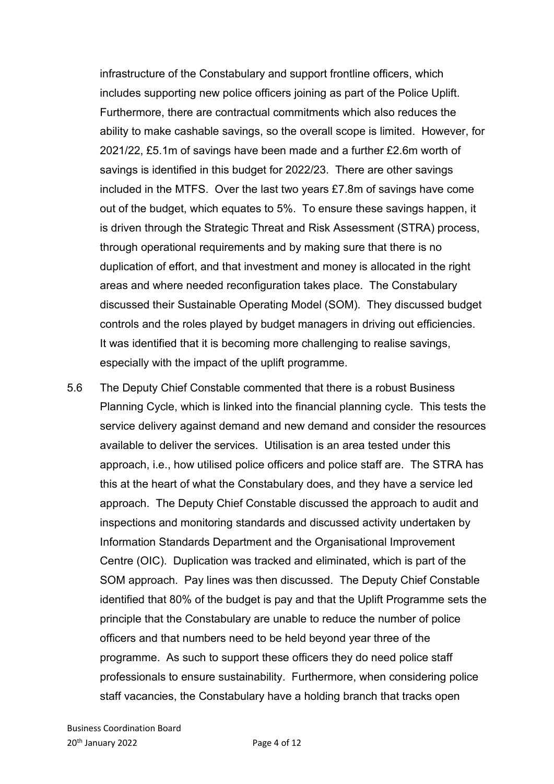infrastructure of the Constabulary and support frontline officers, which includes supporting new police officers joining as part of the Police Uplift. Furthermore, there are contractual commitments which also reduces the ability to make cashable savings, so the overall scope is limited. However, for 2021/22, £5.1m of savings have been made and a further £2.6m worth of savings is identified in this budget for 2022/23. There are other savings included in the MTFS. Over the last two years £7.8m of savings have come out of the budget, which equates to 5%. To ensure these savings happen, it is driven through the Strategic Threat and Risk Assessment (STRA) process, through operational requirements and by making sure that there is no duplication of effort, and that investment and money is allocated in the right areas and where needed reconfiguration takes place. The Constabulary discussed their Sustainable Operating Model (SOM). They discussed budget controls and the roles played by budget managers in driving out efficiencies. It was identified that it is becoming more challenging to realise savings, especially with the impact of the uplift programme.

5.6 The Deputy Chief Constable commented that there is a robust Business Planning Cycle, which is linked into the financial planning cycle. This tests the service delivery against demand and new demand and consider the resources available to deliver the services. Utilisation is an area tested under this approach, i.e., how utilised police officers and police staff are. The STRA has this at the heart of what the Constabulary does, and they have a service led approach. The Deputy Chief Constable discussed the approach to audit and inspections and monitoring standards and discussed activity undertaken by Information Standards Department and the Organisational Improvement Centre (OIC). Duplication was tracked and eliminated, which is part of the SOM approach. Pay lines was then discussed. The Deputy Chief Constable identified that 80% of the budget is pay and that the Uplift Programme sets the principle that the Constabulary are unable to reduce the number of police officers and that numbers need to be held beyond year three of the programme. As such to support these officers they do need police staff professionals to ensure sustainability. Furthermore, when considering police staff vacancies, the Constabulary have a holding branch that tracks open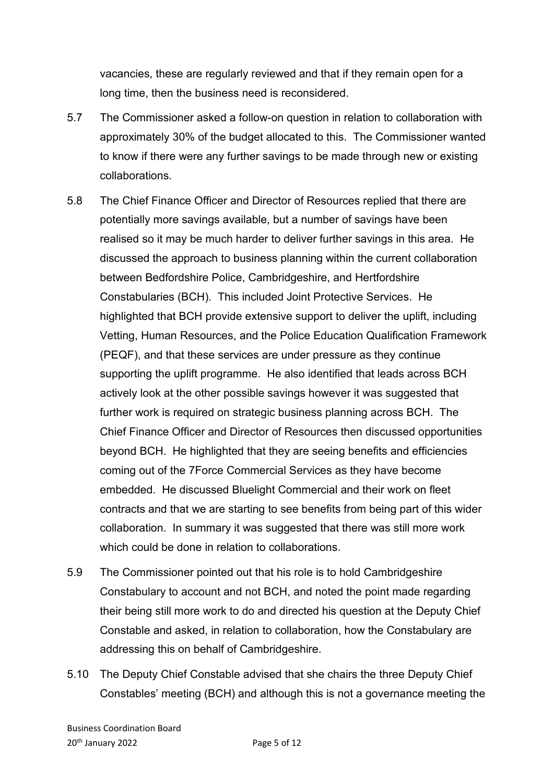vacancies, these are regularly reviewed and that if they remain open for a long time, then the business need is reconsidered.

- 5.7 The Commissioner asked a follow-on question in relation to collaboration with approximately 30% of the budget allocated to this. The Commissioner wanted to know if there were any further savings to be made through new or existing collaborations.
- 5.8 The Chief Finance Officer and Director of Resources replied that there are potentially more savings available, but a number of savings have been realised so it may be much harder to deliver further savings in this area. He discussed the approach to business planning within the current collaboration between Bedfordshire Police, Cambridgeshire, and Hertfordshire Constabularies (BCH). This included Joint Protective Services. He highlighted that BCH provide extensive support to deliver the uplift, including Vetting, Human Resources, and the Police Education Qualification Framework (PEQF), and that these services are under pressure as they continue supporting the uplift programme. He also identified that leads across BCH actively look at the other possible savings however it was suggested that further work is required on strategic business planning across BCH. The Chief Finance Officer and Director of Resources then discussed opportunities beyond BCH. He highlighted that they are seeing benefits and efficiencies coming out of the 7Force Commercial Services as they have become embedded. He discussed Bluelight Commercial and their work on fleet contracts and that we are starting to see benefits from being part of this wider collaboration. In summary it was suggested that there was still more work which could be done in relation to collaborations.
- 5.9 The Commissioner pointed out that his role is to hold Cambridgeshire Constabulary to account and not BCH, and noted the point made regarding their being still more work to do and directed his question at the Deputy Chief Constable and asked, in relation to collaboration, how the Constabulary are addressing this on behalf of Cambridgeshire.
- 5.10 The Deputy Chief Constable advised that she chairs the three Deputy Chief Constables' meeting (BCH) and although this is not a governance meeting the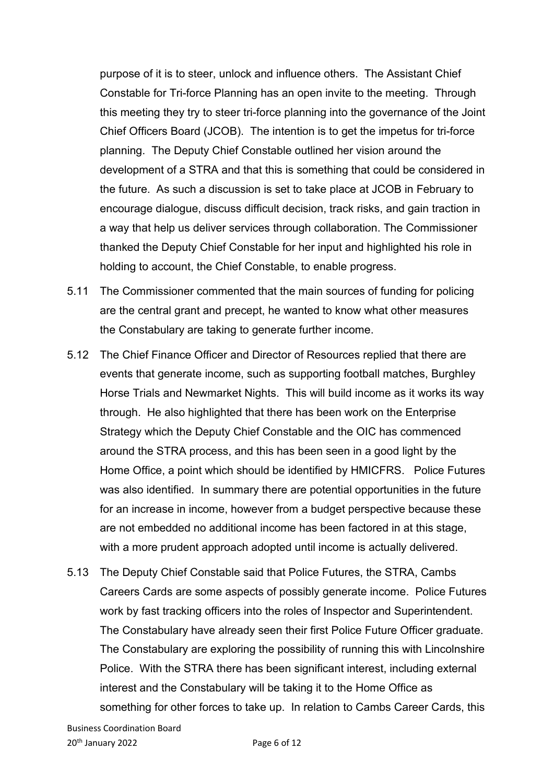purpose of it is to steer, unlock and influence others. The Assistant Chief Constable for Tri-force Planning has an open invite to the meeting. Through this meeting they try to steer tri-force planning into the governance of the Joint Chief Officers Board (JCOB). The intention is to get the impetus for tri-force planning. The Deputy Chief Constable outlined her vision around the development of a STRA and that this is something that could be considered in the future. As such a discussion is set to take place at JCOB in February to encourage dialogue, discuss difficult decision, track risks, and gain traction in a way that help us deliver services through collaboration. The Commissioner thanked the Deputy Chief Constable for her input and highlighted his role in holding to account, the Chief Constable, to enable progress.

- 5.11 The Commissioner commented that the main sources of funding for policing are the central grant and precept, he wanted to know what other measures the Constabulary are taking to generate further income.
- 5.12 The Chief Finance Officer and Director of Resources replied that there are events that generate income, such as supporting football matches, Burghley Horse Trials and Newmarket Nights. This will build income as it works its way through. He also highlighted that there has been work on the Enterprise Strategy which the Deputy Chief Constable and the OIC has commenced around the STRA process, and this has been seen in a good light by the Home Office, a point which should be identified by HMICFRS. Police Futures was also identified. In summary there are potential opportunities in the future for an increase in income, however from a budget perspective because these are not embedded no additional income has been factored in at this stage, with a more prudent approach adopted until income is actually delivered.
- 5.13 The Deputy Chief Constable said that Police Futures, the STRA, Cambs Careers Cards are some aspects of possibly generate income. Police Futures work by fast tracking officers into the roles of Inspector and Superintendent. The Constabulary have already seen their first Police Future Officer graduate. The Constabulary are exploring the possibility of running this with Lincolnshire Police. With the STRA there has been significant interest, including external interest and the Constabulary will be taking it to the Home Office as something for other forces to take up. In relation to Cambs Career Cards, this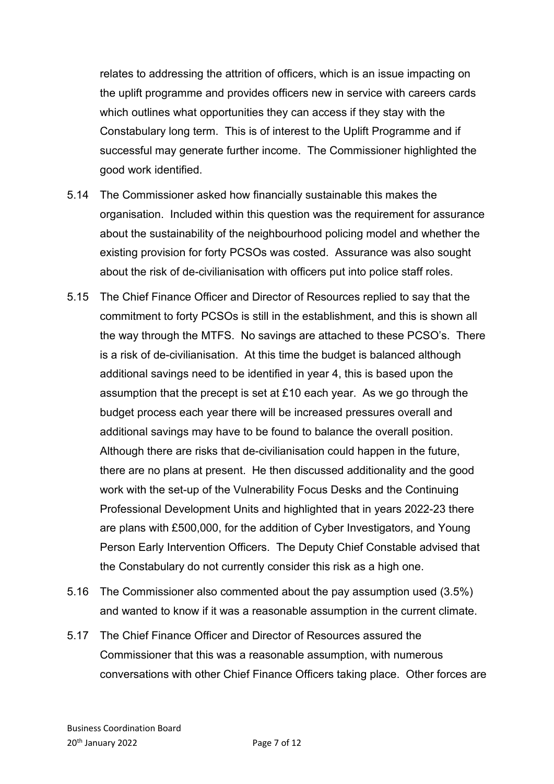relates to addressing the attrition of officers, which is an issue impacting on the uplift programme and provides officers new in service with careers cards which outlines what opportunities they can access if they stay with the Constabulary long term. This is of interest to the Uplift Programme and if successful may generate further income. The Commissioner highlighted the good work identified.

- 5.14 The Commissioner asked how financially sustainable this makes the organisation. Included within this question was the requirement for assurance about the sustainability of the neighbourhood policing model and whether the existing provision for forty PCSOs was costed. Assurance was also sought about the risk of de-civilianisation with officers put into police staff roles.
- 5.15 The Chief Finance Officer and Director of Resources replied to say that the commitment to forty PCSOs is still in the establishment, and this is shown all the way through the MTFS. No savings are attached to these PCSO's. There is a risk of de-civilianisation. At this time the budget is balanced although additional savings need to be identified in year 4, this is based upon the assumption that the precept is set at £10 each year. As we go through the budget process each year there will be increased pressures overall and additional savings may have to be found to balance the overall position. Although there are risks that de-civilianisation could happen in the future, there are no plans at present. He then discussed additionality and the good work with the set-up of the Vulnerability Focus Desks and the Continuing Professional Development Units and highlighted that in years 2022-23 there are plans with £500,000, for the addition of Cyber Investigators, and Young Person Early Intervention Officers. The Deputy Chief Constable advised that the Constabulary do not currently consider this risk as a high one.
- 5.16 The Commissioner also commented about the pay assumption used (3.5%) and wanted to know if it was a reasonable assumption in the current climate.
- 5.17 The Chief Finance Officer and Director of Resources assured the Commissioner that this was a reasonable assumption, with numerous conversations with other Chief Finance Officers taking place. Other forces are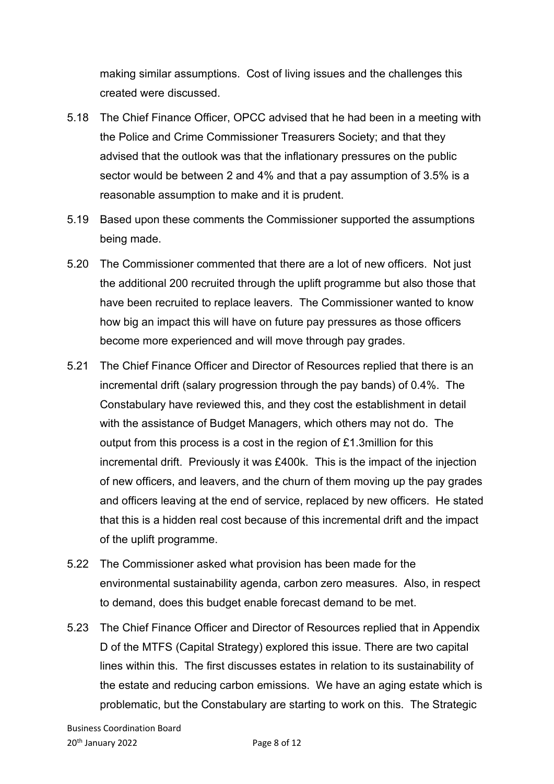making similar assumptions. Cost of living issues and the challenges this created were discussed.

- 5.18 The Chief Finance Officer, OPCC advised that he had been in a meeting with the Police and Crime Commissioner Treasurers Society; and that they advised that the outlook was that the inflationary pressures on the public sector would be between 2 and 4% and that a pay assumption of 3.5% is a reasonable assumption to make and it is prudent.
- 5.19 Based upon these comments the Commissioner supported the assumptions being made.
- 5.20 The Commissioner commented that there are a lot of new officers. Not just the additional 200 recruited through the uplift programme but also those that have been recruited to replace leavers. The Commissioner wanted to know how big an impact this will have on future pay pressures as those officers become more experienced and will move through pay grades.
- 5.21 The Chief Finance Officer and Director of Resources replied that there is an incremental drift (salary progression through the pay bands) of 0.4%. The Constabulary have reviewed this, and they cost the establishment in detail with the assistance of Budget Managers, which others may not do. The output from this process is a cost in the region of £1.3million for this incremental drift. Previously it was £400k. This is the impact of the injection of new officers, and leavers, and the churn of them moving up the pay grades and officers leaving at the end of service, replaced by new officers. He stated that this is a hidden real cost because of this incremental drift and the impact of the uplift programme.
- 5.22 The Commissioner asked what provision has been made for the environmental sustainability agenda, carbon zero measures. Also, in respect to demand, does this budget enable forecast demand to be met.
- 5.23 The Chief Finance Officer and Director of Resources replied that in Appendix D of the MTFS (Capital Strategy) explored this issue. There are two capital lines within this. The first discusses estates in relation to its sustainability of the estate and reducing carbon emissions. We have an aging estate which is problematic, but the Constabulary are starting to work on this. The Strategic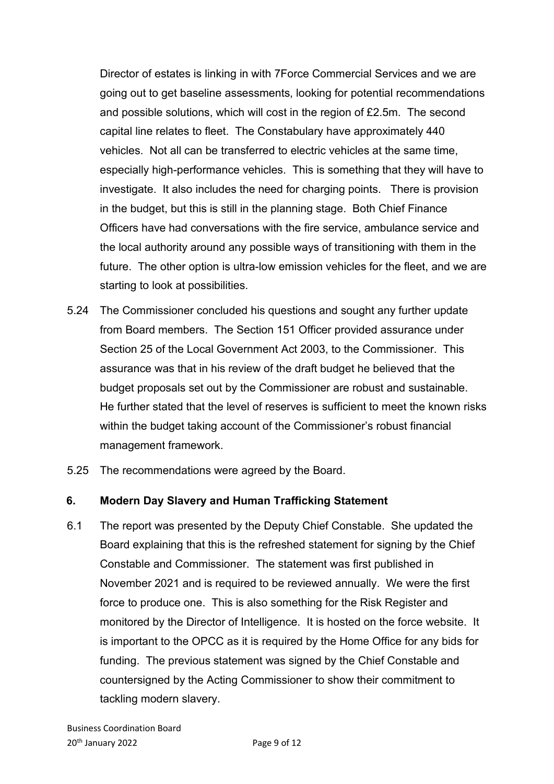Director of estates is linking in with 7Force Commercial Services and we are going out to get baseline assessments, looking for potential recommendations and possible solutions, which will cost in the region of £2.5m. The second capital line relates to fleet. The Constabulary have approximately 440 vehicles. Not all can be transferred to electric vehicles at the same time, especially high-performance vehicles. This is something that they will have to investigate. It also includes the need for charging points. There is provision in the budget, but this is still in the planning stage. Both Chief Finance Officers have had conversations with the fire service, ambulance service and the local authority around any possible ways of transitioning with them in the future. The other option is ultra-low emission vehicles for the fleet, and we are starting to look at possibilities.

- 5.24 The Commissioner concluded his questions and sought any further update from Board members. The Section 151 Officer provided assurance under Section 25 of the Local Government Act 2003, to the Commissioner. This assurance was that in his review of the draft budget he believed that the budget proposals set out by the Commissioner are robust and sustainable. He further stated that the level of reserves is sufficient to meet the known risks within the budget taking account of the Commissioner's robust financial management framework.
- 5.25 The recommendations were agreed by the Board.

## **6. Modern Day Slavery and Human Trafficking Statement**

6.1 The report was presented by the Deputy Chief Constable. She updated the Board explaining that this is the refreshed statement for signing by the Chief Constable and Commissioner. The statement was first published in November 2021 and is required to be reviewed annually. We were the first force to produce one. This is also something for the Risk Register and monitored by the Director of Intelligence. It is hosted on the force website. It is important to the OPCC as it is required by the Home Office for any bids for funding. The previous statement was signed by the Chief Constable and countersigned by the Acting Commissioner to show their commitment to tackling modern slavery.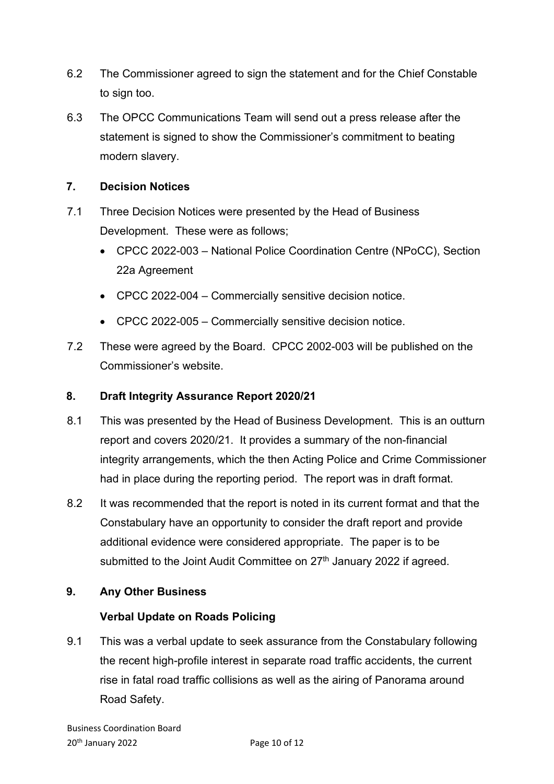- 6.2 The Commissioner agreed to sign the statement and for the Chief Constable to sign too.
- 6.3 The OPCC Communications Team will send out a press release after the statement is signed to show the Commissioner's commitment to beating modern slavery.

## **7. Decision Notices**

- 7.1 Three Decision Notices were presented by the Head of Business Development. These were as follows;
	- CPCC 2022-003 National Police Coordination Centre (NPoCC), Section 22a Agreement
	- CPCC 2022-004 Commercially sensitive decision notice.
	- CPCC 2022-005 Commercially sensitive decision notice.
- 7.2 These were agreed by the Board. CPCC 2002-003 will be published on the Commissioner's website.

## **8. Draft Integrity Assurance Report 2020/21**

- 8.1 This was presented by the Head of Business Development. This is an outturn report and covers 2020/21. It provides a summary of the non-financial integrity arrangements, which the then Acting Police and Crime Commissioner had in place during the reporting period. The report was in draft format.
- 8.2 It was recommended that the report is noted in its current format and that the Constabulary have an opportunity to consider the draft report and provide additional evidence were considered appropriate. The paper is to be submitted to the Joint Audit Committee on 27<sup>th</sup> January 2022 if agreed.

## **9. Any Other Business**

## **Verbal Update on Roads Policing**

9.1 This was a verbal update to seek assurance from the Constabulary following the recent high-profile interest in separate road traffic accidents, the current rise in fatal road traffic collisions as well as the airing of Panorama around Road Safety.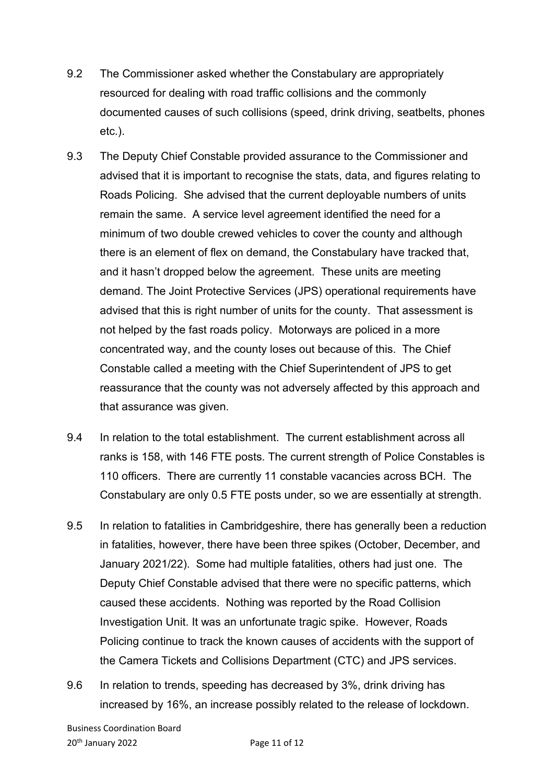- 9.2 The Commissioner asked whether the Constabulary are appropriately resourced for dealing with road traffic collisions and the commonly documented causes of such collisions (speed, drink driving, seatbelts, phones etc.).
- 9.3 The Deputy Chief Constable provided assurance to the Commissioner and advised that it is important to recognise the stats, data, and figures relating to Roads Policing. She advised that the current deployable numbers of units remain the same. A service level agreement identified the need for a minimum of two double crewed vehicles to cover the county and although there is an element of flex on demand, the Constabulary have tracked that, and it hasn't dropped below the agreement. These units are meeting demand. The Joint Protective Services (JPS) operational requirements have advised that this is right number of units for the county. That assessment is not helped by the fast roads policy. Motorways are policed in a more concentrated way, and the county loses out because of this. The Chief Constable called a meeting with the Chief Superintendent of JPS to get reassurance that the county was not adversely affected by this approach and that assurance was given.
- 9.4 In relation to the total establishment. The current establishment across all ranks is 158, with 146 FTE posts. The current strength of Police Constables is 110 officers. There are currently 11 constable vacancies across BCH. The Constabulary are only 0.5 FTE posts under, so we are essentially at strength.
- 9.5 In relation to fatalities in Cambridgeshire, there has generally been a reduction in fatalities, however, there have been three spikes (October, December, and January 2021/22). Some had multiple fatalities, others had just one. The Deputy Chief Constable advised that there were no specific patterns, which caused these accidents. Nothing was reported by the Road Collision Investigation Unit. It was an unfortunate tragic spike. However, Roads Policing continue to track the known causes of accidents with the support of the Camera Tickets and Collisions Department (CTC) and JPS services.
- 9.6 In relation to trends, speeding has decreased by 3%, drink driving has increased by 16%, an increase possibly related to the release of lockdown.